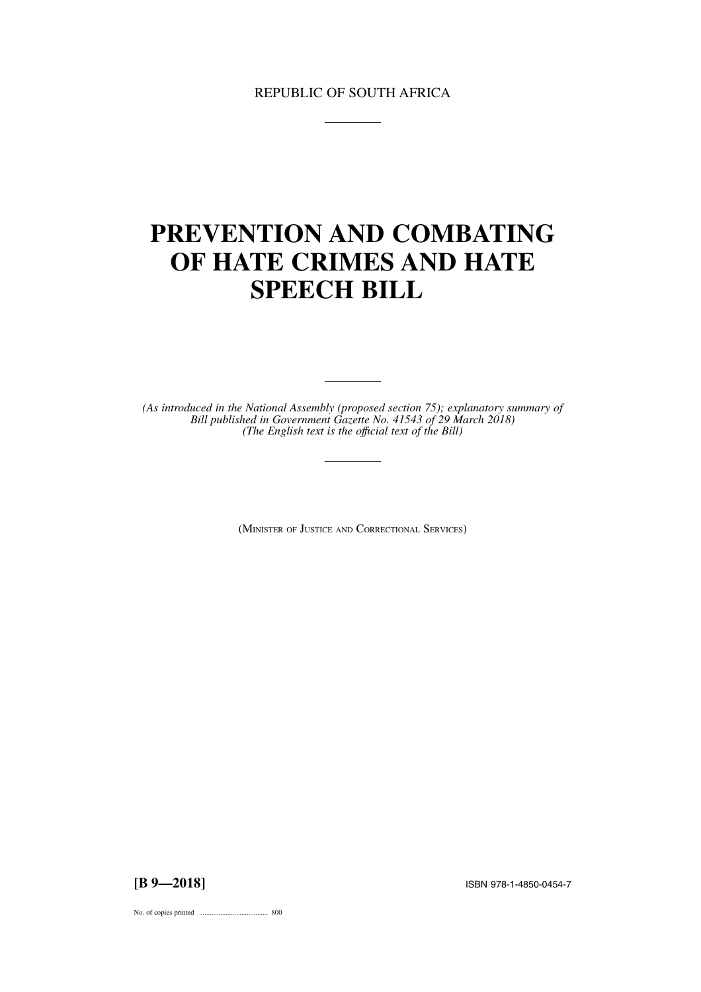# REPUBLIC OF SOUTH AFRICA

# **PREVENTION AND COMBATING OF HATE CRIMES AND HATE SPEECH BILL**

*(As introduced in the National Assembly (proposed section 75); explanatory summary of Bill published in Government Gazette No. 41543 of 29 March 2018) (The English text is the offıcial text of the Bill)*

(MINISTER OF JUSTICE AND CORRECTIONAL SERVICES)

**[B 9—2018]** ISBN 978-1-4850-0454-7

No. of copies printed ....................................... 800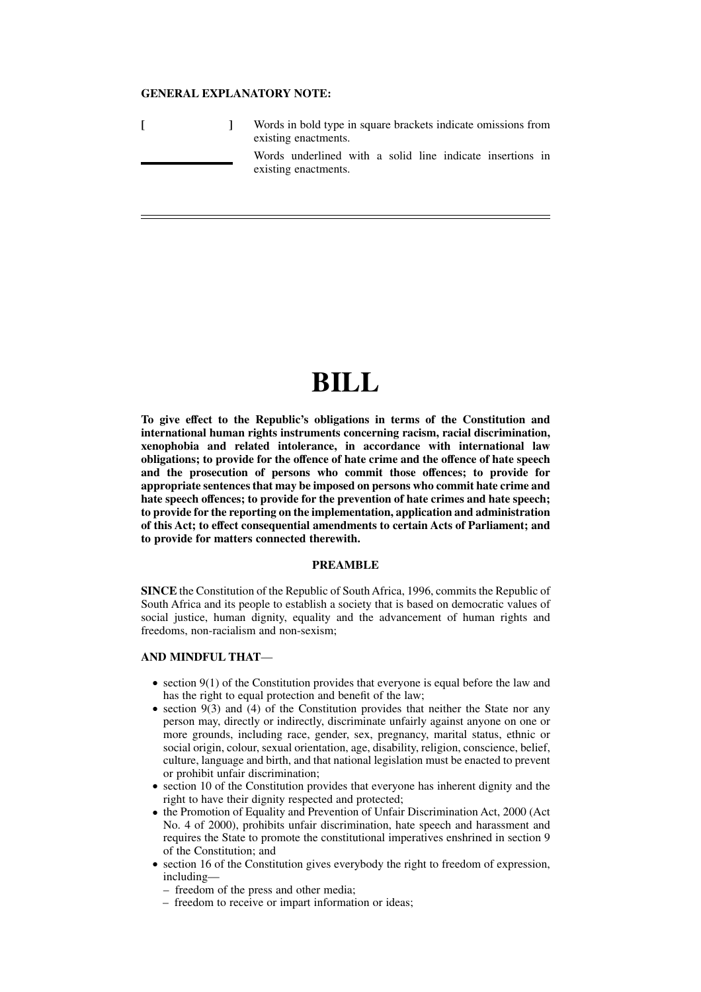## **GENERAL EXPLANATORY NOTE:**

|  | Words in bold type in square brackets indicate omissions from<br>existing enactments. |
|--|---------------------------------------------------------------------------------------|
|  | Words underlined with a solid line indicate insertions in<br>existing enactments.     |

# **BILL**

**To give effect to the Republic's obligations in terms of the Constitution and international human rights instruments concerning racism, racial discrimination, xenophobia and related intolerance, in accordance with international law obligations; to provide for the offence of hate crime and the offence of hate speech and the prosecution of persons who commit those offences; to provide for appropriate sentences that may be imposed on persons who commit hate crime and hate speech offences; to provide for the prevention of hate crimes and hate speech; to provide for the reporting on the implementation, application and administration of this Act; to effect consequential amendments to certain Acts of Parliament; and to provide for matters connected therewith.**

## **PREAMBLE**

**SINCE** the Constitution of the Republic of South Africa, 1996, commits the Republic of South Africa and its people to establish a society that is based on democratic values of social justice, human dignity, equality and the advancement of human rights and freedoms, non-racialism and non-sexism;

## **AND MINDFUL THAT**—

- $\bullet$  section 9(1) of the Constitution provides that everyone is equal before the law and has the right to equal protection and benefit of the law;
- section  $9(3)$  and (4) of the Constitution provides that neither the State nor any person may, directly or indirectly, discriminate unfairly against anyone on one or more grounds, including race, gender, sex, pregnancy, marital status, ethnic or social origin, colour, sexual orientation, age, disability, religion, conscience, belief, culture, language and birth, and that national legislation must be enacted to prevent or prohibit unfair discrimination;
- section 10 of the Constitution provides that everyone has inherent dignity and the right to have their dignity respected and protected;
- the Promotion of Equality and Prevention of Unfair Discrimination Act, 2000 (Act) No. 4 of 2000), prohibits unfair discrimination, hate speech and harassment and requires the State to promote the constitutional imperatives enshrined in section 9 of the Constitution; and
- section 16 of the Constitution gives everybody the right to freedom of expression, including—
	- freedom of the press and other media;
	- freedom to receive or impart information or ideas;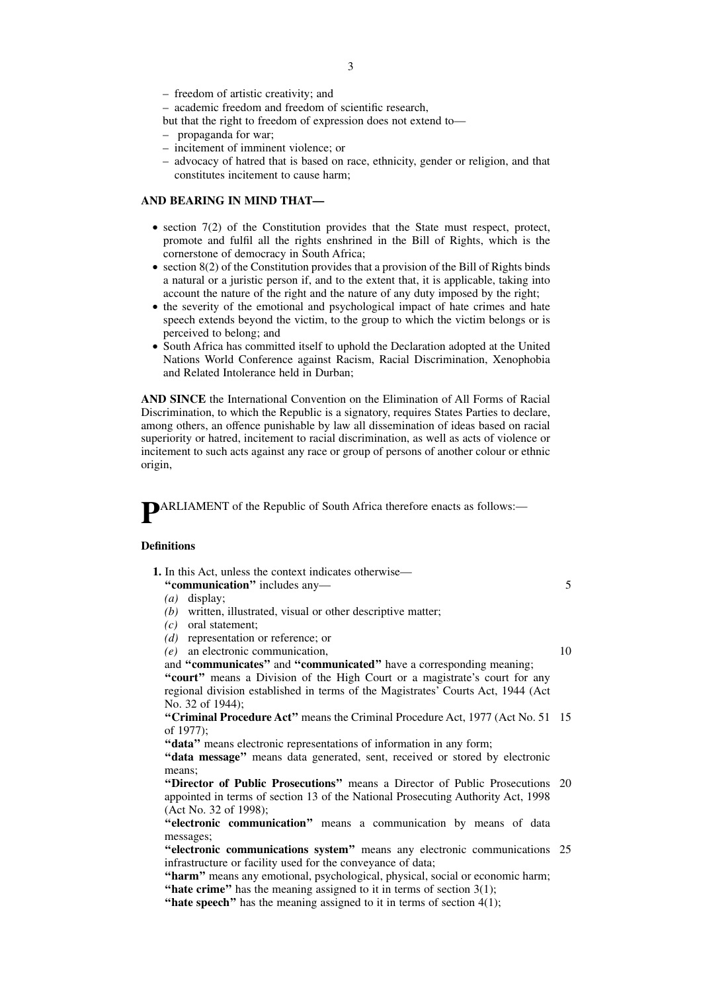- freedom of artistic creativity; and
- academic freedom and freedom of scientific research,
- but that the right to freedom of expression does not extend to—
- propaganda for war;
- incitement of imminent violence; or
- advocacy of hatred that is based on race, ethnicity, gender or religion, and that constitutes incitement to cause harm;

## **AND BEARING IN MIND THAT—**

- $\bullet$  section  $7(2)$  of the Constitution provides that the State must respect, protect, promote and fulfil all the rights enshrined in the Bill of Rights, which is the cornerstone of democracy in South Africa;
- $\bullet$  section 8(2) of the Constitution provides that a provision of the Bill of Rights binds a natural or a juristic person if, and to the extent that, it is applicable, taking into account the nature of the right and the nature of any duty imposed by the right;
- the severity of the emotional and psychological impact of hate crimes and hate speech extends beyond the victim, to the group to which the victim belongs or is perceived to belong; and
- South Africa has committed itself to uphold the Declaration adopted at the United Nations World Conference against Racism, Racial Discrimination, Xenophobia and Related Intolerance held in Durban;

**AND SINCE** the International Convention on the Elimination of All Forms of Racial Discrimination, to which the Republic is a signatory, requires States Parties to declare, among others, an offence punishable by law all dissemination of ideas based on racial superiority or hatred, incitement to racial discrimination, as well as acts of violence or incitement to such acts against any race or group of persons of another colour or ethnic origin,

**P**ARLIAMENT of the Republic of South Africa therefore enacts as follows:—

#### **Definitions**

| 1. In this Act, unless the context indicates otherwise—                                |    |
|----------------------------------------------------------------------------------------|----|
| "communication" includes any-                                                          | 5  |
| display;<br>(a)                                                                        |    |
| written, illustrated, visual or other descriptive matter;<br>(b)                       |    |
| $(c)$ oral statement;                                                                  |    |
| $(d)$ representation or reference; or                                                  |    |
| $(e)$ an electronic communication,                                                     | 10 |
| and "communicates" and "communicated" have a corresponding meaning;                    |    |
| "court" means a Division of the High Court or a magistrate's court for any             |    |
| regional division established in terms of the Magistrates' Courts Act, 1944 (Act       |    |
| No. 32 of 1944);                                                                       |    |
| <b>"Criminal Procedure Act"</b> means the Criminal Procedure Act, 1977 (Act No. 51 15) |    |
| of $1977$ :                                                                            |    |
| "data" means electronic representations of information in any form;                    |    |
| "data message" means data generated, sent, received or stored by electronic            |    |
| means:                                                                                 |    |

"Director of Public Prosecutions" means a Director of Public Prosecutions 20 appointed in terms of section 13 of the National Prosecuting Authority Act, 1998 (Act No. 32 of 1998);

**''electronic communication''** means a communication by means of data messages;

"electronic communications system" means any electronic communications 25 infrastructure or facility used for the conveyance of data;

**''harm''** means any emotional, psychological, physical, social or economic harm; **"hate crime"** has the meaning assigned to it in terms of section 3(1);

**"hate speech"** has the meaning assigned to it in terms of section 4(1);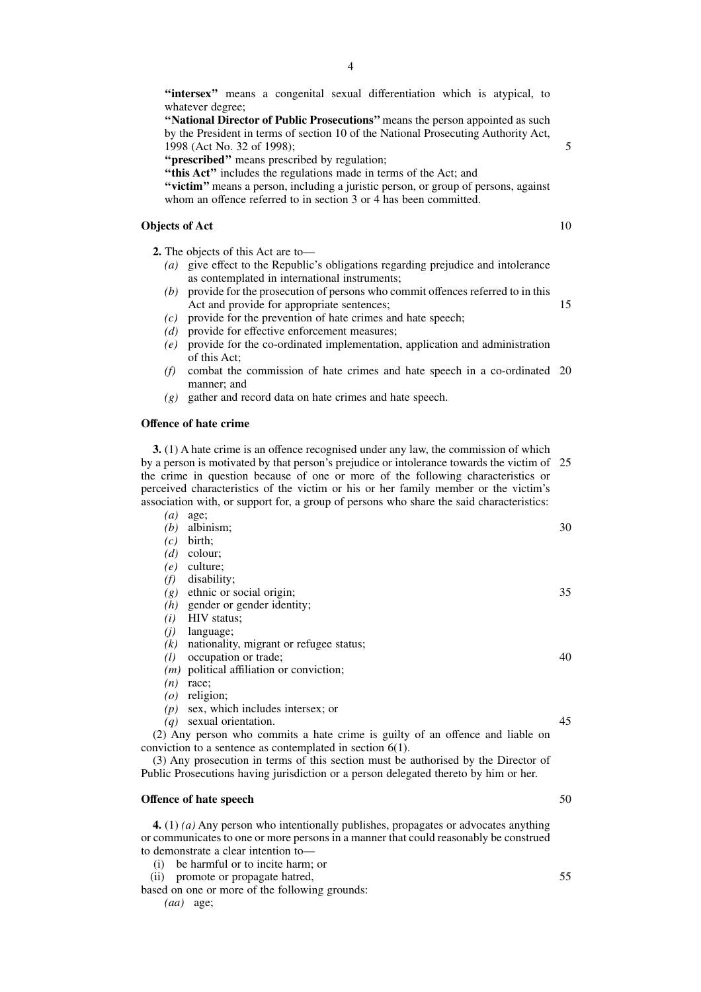"intersex" means a congenital sexual differentiation which is atypical, to whatever degree;

**''National Director of Public Prosecutions''** means the person appointed as such by the President in terms of section 10 of the National Prosecuting Authority Act, 1998 (Act No. 32 of 1998);

**''prescribed''** means prescribed by regulation;

**''this Act''** includes the regulations made in terms of the Act; and

**''victim''** means a person, including a juristic person, or group of persons, against whom an offence referred to in section 3 or 4 has been committed.

## **Objects of Act**

**2.** The objects of this Act are to—

- *(a)* give effect to the Republic's obligations regarding prejudice and intolerance as contemplated in international instruments;
- *(b)* provide for the prosecution of persons who commit offences referred to in this Act and provide for appropriate sentences; 15
- *(c)* provide for the prevention of hate crimes and hate speech;
- *(d)* provide for effective enforcement measures;<br>*(e)* provide for the co-ordinated implementation
- *(e)* provide for the co-ordinated implementation, application and administration of this Act;
- *(f)* combat the commission of hate crimes and hate speech in a co-ordinated 20 manner; and
- *(g)* gather and record data on hate crimes and hate speech.

## **Offence of hate crime**

**3.** (1) A hate crime is an offence recognised under any law, the commission of which by a person is motivated by that person's prejudice or intolerance towards the victim of the crime in question because of one or more of the following characteristics or perceived characteristics of the victim or his or her family member or the victim's association with, or support for, a group of persons who share the said characteristics: *(a)* age;  $25$ 

| (b)               | albinism;                                                                            | 30 |
|-------------------|--------------------------------------------------------------------------------------|----|
| (c)               | birth;                                                                               |    |
| (d)               | colour;                                                                              |    |
| (e)               | culture;                                                                             |    |
| (f)               | disability;                                                                          |    |
| (g)               | ethnic or social origin;                                                             | 35 |
|                   | $(h)$ gender or gender identity;                                                     |    |
| (i)               | HIV status;                                                                          |    |
| (i)               | language;                                                                            |    |
| (k)               | nationality, migrant or refugee status;                                              |    |
| (l)               | occupation or trade;                                                                 | 40 |
|                   | $(m)$ political affiliation or conviction;                                           |    |
| (n)               | race;                                                                                |    |
|                   | $(o)$ religion;                                                                      |    |
| (p)               | sex, which includes intersex; or                                                     |    |
| $\left( a\right)$ | sexual orientation.                                                                  | 45 |
|                   | (2) Any person who commits a hate crime is guilty of an offence and liable on        |    |
|                   | conviction to a sentence as contemplated in section $6(1)$ .                         |    |
|                   | (3) Any prosecution in terms of this section must be authorised by the Director of   |    |
|                   | Public Prosecutions having jurisdiction or a person delegated thereto by him or her. |    |
|                   | Offence of hate speech                                                               | 50 |
|                   |                                                                                      |    |

**4.** (1) *(a)* Any person who intentionally publishes, propagates or advocates anything or communicates to one or more persons in a manner that could reasonably be construed to demonstrate a clear intention to—

(i) be harmful or to incite harm; or

(ii) promote or propagate hatred,

based on one or more of the following grounds: *(aa)* age;

10

5

50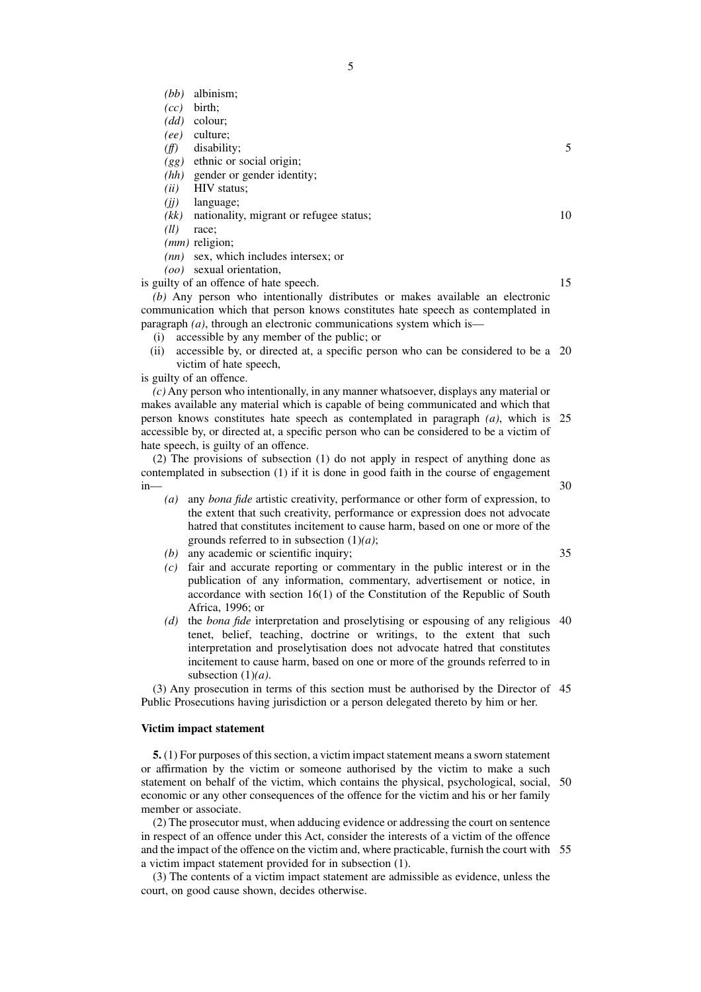- *(bb)* albinism;
- *(cc)* birth;
- *(dd)* colour;
- *(ee)* culture;
- *(ff)* disability;
- *(gg)* ethnic or social origin;
- *(hh)* gender or gender identity;
- *(ii)* HIV status;
- *(jj)* language;
- *(kk)* nationality, migrant or refugee status;
- *(ll)* race;
- *(mm)* religion;
- *(nn)* sex, which includes intersex; or

*(oo)* sexual orientation,

is guilty of an offence of hate speech.

*(b)* Any person who intentionally distributes or makes available an electronic communication which that person knows constitutes hate speech as contemplated in paragraph *(a)*, through an electronic communications system which is—

- (i) accessible by any member of the public; or
- (ii) accessible by, or directed at, a specific person who can be considered to be a 20 victim of hate speech,

is guilty of an offence.

*(c)* Any person who intentionally, in any manner whatsoever, displays any material or makes available any material which is capable of being communicated and which that person knows constitutes hate speech as contemplated in paragraph *(a)*, which is 25 accessible by, or directed at, a specific person who can be considered to be a victim of hate speech, is guilty of an offence.

(2) The provisions of subsection (1) do not apply in respect of anything done as contemplated in subsection (1) if it is done in good faith in the course of engagement in—

- *(a)* any *bona fide* artistic creativity, performance or other form of expression, to the extent that such creativity, performance or expression does not advocate hatred that constitutes incitement to cause harm, based on one or more of the grounds referred to in subsection (1)*(a)*;
- *(b)* any academic or scientific inquiry;
- *(c)* fair and accurate reporting or commentary in the public interest or in the publication of any information, commentary, advertisement or notice, in accordance with section 16(1) of the Constitution of the Republic of South Africa, 1996; or
- *(d)* the *bona fide* interpretation and proselytising or espousing of any religious 40 tenet, belief, teaching, doctrine or writings, to the extent that such interpretation and proselytisation does not advocate hatred that constitutes incitement to cause harm, based on one or more of the grounds referred to in subsection (1)*(a)*.

(3) Any prosecution in terms of this section must be authorised by the Director of 45 Public Prosecutions having jurisdiction or a person delegated thereto by him or her.

## **Victim impact statement**

**5.** (1) For purposes of this section, a victim impact statement means a sworn statement or affirmation by the victim or someone authorised by the victim to make a such statement on behalf of the victim, which contains the physical, psychological, social, 50 economic or any other consequences of the offence for the victim and his or her family member or associate.

(2) The prosecutor must, when adducing evidence or addressing the court on sentence in respect of an offence under this Act, consider the interests of a victim of the offence and the impact of the offence on the victim and, where practicable, furnish the court with 55a victim impact statement provided for in subsection (1).

(3) The contents of a victim impact statement are admissible as evidence, unless the court, on good cause shown, decides otherwise.

15

30

35

10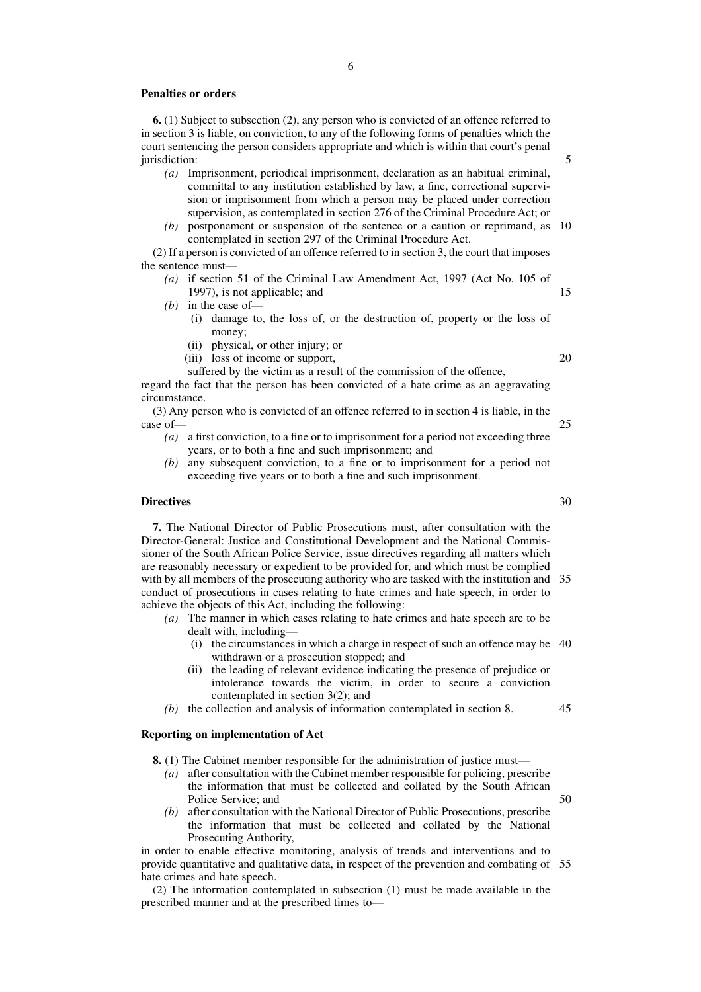#### **Penalties or orders**

**6.** (1) Subject to subsection (2), any person who is convicted of an offence referred to in section 3 is liable, on conviction, to any of the following forms of penalties which the court sentencing the person considers appropriate and which is within that court's penal jurisdiction:

- *(a)* Imprisonment, periodical imprisonment, declaration as an habitual criminal, committal to any institution established by law, a fine, correctional supervision or imprisonment from which a person may be placed under correction supervision, as contemplated in section 276 of the Criminal Procedure Act; or
- *(b)* postponement or suspension of the sentence or a caution or reprimand, as 10 contemplated in section 297 of the Criminal Procedure Act.

(2) If a person is convicted of an offence referred to in section 3, the court that imposes the sentence must—

- *(a)* if section 51 of the Criminal Law Amendment Act, 1997 (Act No. 105 of 1997), is not applicable; and
- *(b)* in the case of—
	- (i) damage to, the loss of, or the destruction of, property or the loss of money;
	- (ii) physical, or other injury; or
	- (iii) loss of income or support,

suffered by the victim as a result of the commission of the offence,

regard the fact that the person has been convicted of a hate crime as an aggravating circumstance.

(3) Any person who is convicted of an offence referred to in section 4 is liable, in the case of—

- *(a)* a first conviction, to a fine or to imprisonment for a period not exceeding three years, or to both a fine and such imprisonment; and
- *(b)* any subsequent conviction, to a fine or to imprisonment for a period not exceeding five years or to both a fine and such imprisonment.

#### **Directives**

**7.** The National Director of Public Prosecutions must, after consultation with the Director-General: Justice and Constitutional Development and the National Commissioner of the South African Police Service, issue directives regarding all matters which are reasonably necessary or expedient to be provided for, and which must be complied with by all members of the prosecuting authority who are tasked with the institution and conduct of prosecutions in cases relating to hate crimes and hate speech, in order to achieve the objects of this Act, including the following: 35

- *(a)* The manner in which cases relating to hate crimes and hate speech are to be dealt with, including—
	- (i) the circumstances in which a charge in respect of such an offence may be 40 withdrawn or a prosecution stopped; and
	- (ii) the leading of relevant evidence indicating the presence of prejudice or intolerance towards the victim, in order to secure a conviction contemplated in section 3(2); and
- *(b)* the collection and analysis of information contemplated in section 8.

## **Reporting on implementation of Act**

- **8.** (1) The Cabinet member responsible for the administration of justice must—
	- *(a)* after consultation with the Cabinet member responsible for policing, prescribe the information that must be collected and collated by the South African Police Service; and
	- *(b)* after consultation with the National Director of Public Prosecutions, prescribe the information that must be collected and collated by the National Prosecuting Authority,

in order to enable effective monitoring, analysis of trends and interventions and to provide quantitative and qualitative data, in respect of the prevention and combating of 55hate crimes and hate speech.

(2) The information contemplated in subsection (1) must be made available in the prescribed manner and at the prescribed times to—

5

15

20

25

30

45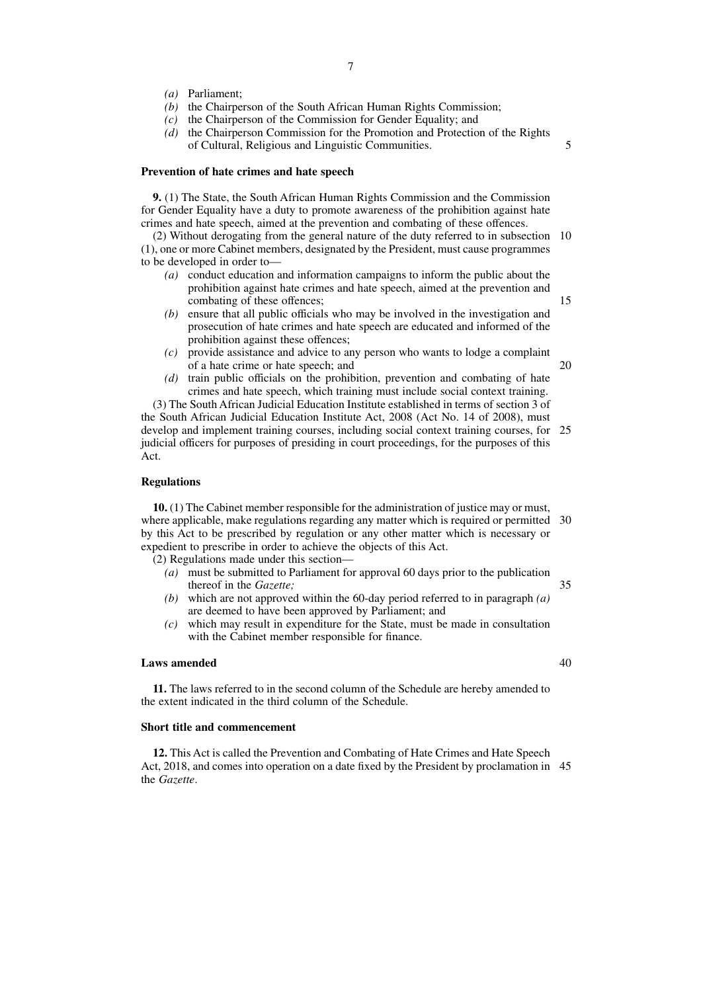- *(a)* Parliament;
- *(b)* the Chairperson of the South African Human Rights Commission;
- *(c)* the Chairperson of the Commission for Gender Equality; and
- *(d)* the Chairperson Commission for the Promotion and Protection of the Rights of Cultural, Religious and Linguistic Communities.

#### **Prevention of hate crimes and hate speech**

**9.** (1) The State, the South African Human Rights Commission and the Commission for Gender Equality have a duty to promote awareness of the prohibition against hate crimes and hate speech, aimed at the prevention and combating of these offences.

(2) Without derogating from the general nature of the duty referred to in subsection 10 (1), one or more Cabinet members, designated by the President, must cause programmes to be developed in order to—

- *(a)* conduct education and information campaigns to inform the public about the prohibition against hate crimes and hate speech, aimed at the prevention and combating of these offences;
- *(b)* ensure that all public officials who may be involved in the investigation and prosecution of hate crimes and hate speech are educated and informed of the prohibition against these offences;
- *(c)* provide assistance and advice to any person who wants to lodge a complaint of a hate crime or hate speech; and 20
- *(d)* train public officials on the prohibition, prevention and combating of hate crimes and hate speech, which training must include social context training.

(3) The South African Judicial Education Institute established in terms of section 3 of the South African Judicial Education Institute Act, 2008 (Act No. 14 of 2008), must develop and implement training courses, including social context training courses, for 25 judicial officers for purposes of presiding in court proceedings, for the purposes of this Act.

### **Regulations**

**10.** (1) The Cabinet member responsible for the administration of justice may or must, where applicable, make regulations regarding any matter which is required or permitted 30 by this Act to be prescribed by regulation or any other matter which is necessary or expedient to prescribe in order to achieve the objects of this Act.

(2) Regulations made under this section—

- *(a)* must be submitted to Parliament for approval 60 days prior to the publication thereof in the *Gazette;*
- *(b)* which are not approved within the 60-day period referred to in paragraph *(a)* are deemed to have been approved by Parliament; and
- *(c)* which may result in expenditure for the State, must be made in consultation with the Cabinet member responsible for finance.

## **Laws amended**

**11.** The laws referred to in the second column of the Schedule are hereby amended to the extent indicated in the third column of the Schedule.

## **Short title and commencement**

**12.** This Act is called the Prevention and Combating of Hate Crimes and Hate Speech Act, 2018, and comes into operation on a date fixed by the President by proclamation in 45the *Gazette*.

15

5

40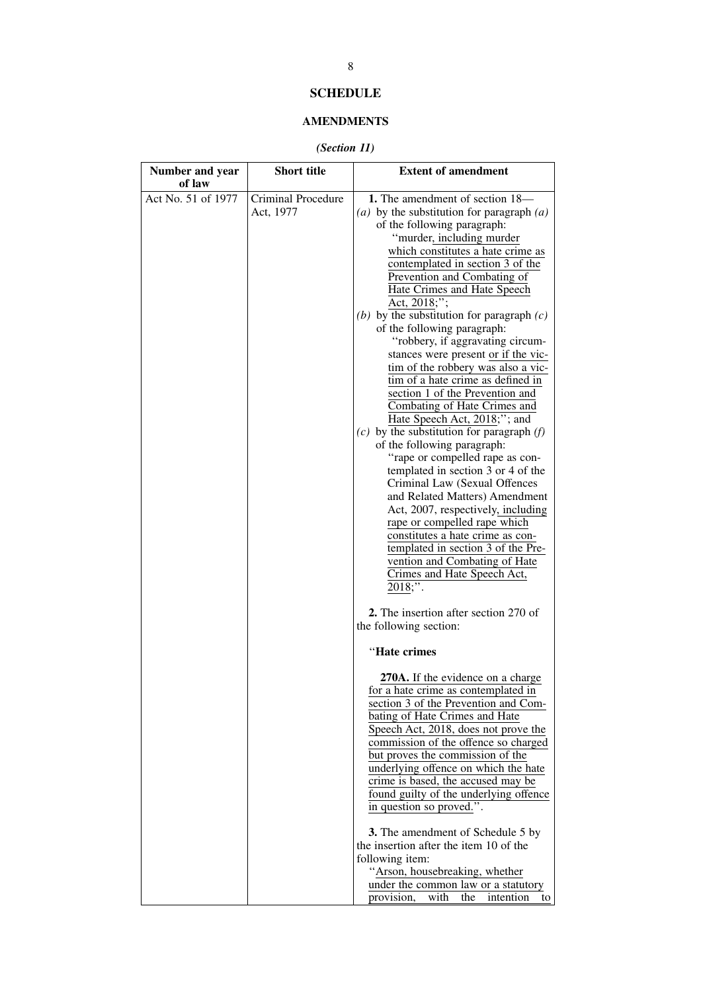# **SCHEDULE**

## **AMENDMENTS**

## *(Section 11)*

| Number and year<br>of law | <b>Short title</b>              | <b>Extent of amendment</b>                                                                                                                                                                                                                                                                                                                                                                                                                                                                                                                                                                                                                                                                                                                                                                                                                                                                                                                                                                                                                                                                         |
|---------------------------|---------------------------------|----------------------------------------------------------------------------------------------------------------------------------------------------------------------------------------------------------------------------------------------------------------------------------------------------------------------------------------------------------------------------------------------------------------------------------------------------------------------------------------------------------------------------------------------------------------------------------------------------------------------------------------------------------------------------------------------------------------------------------------------------------------------------------------------------------------------------------------------------------------------------------------------------------------------------------------------------------------------------------------------------------------------------------------------------------------------------------------------------|
| Act No. 51 of 1977        | Criminal Procedure<br>Act, 1977 | 1. The amendment of section 18-<br>(a) by the substitution for paragraph $(a)$<br>of the following paragraph:<br>"murder, including murder<br>which constitutes a hate crime as<br>contemplated in section 3 of the<br>Prevention and Combating of<br>Hate Crimes and Hate Speech<br>Act, 2018;";<br>(b) by the substitution for paragraph $(c)$<br>of the following paragraph:<br>"robbery, if aggravating circum-<br>stances were present or if the vic-<br>tim of the robbery was also a vic-<br>tim of a hate crime as defined in<br>section 1 of the Prevention and<br>Combating of Hate Crimes and<br>Hate Speech Act, 2018;"; and<br>$(c)$ by the substitution for paragraph $(f)$<br>of the following paragraph:<br>"rape or compelled rape as con-<br>templated in section 3 or 4 of the<br>Criminal Law (Sexual Offences<br>and Related Matters) Amendment<br>Act, 2007, respectively, including<br>rape or compelled rape which<br>constitutes a hate crime as con-<br>templated in section 3 of the Pre-<br>vention and Combating of Hate<br>Crimes and Hate Speech Act,<br>$2018;$ ". |
|                           |                                 | 2. The insertion after section 270 of<br>the following section:                                                                                                                                                                                                                                                                                                                                                                                                                                                                                                                                                                                                                                                                                                                                                                                                                                                                                                                                                                                                                                    |
|                           |                                 | "Hate crimes<br>270A. If the evidence on a charge<br>for a hate crime as contemplated in<br>section 3 of the Prevention and Com-<br>bating of Hate Crimes and Hate<br>Speech Act, 2018, does not prove the<br>commission of the offence so charged<br>but proves the commission of the<br>underlying offence on which the hate<br>crime is based, the accused may be<br>found guilty of the underlying offence<br>in question so proved.".<br>3. The amendment of Schedule 5 by<br>the insertion after the item 10 of the<br>following item:<br>"Arson, housebreaking, whether<br>under the common law or a statutory<br>provision,<br>with<br>the<br>intention<br>to                                                                                                                                                                                                                                                                                                                                                                                                                              |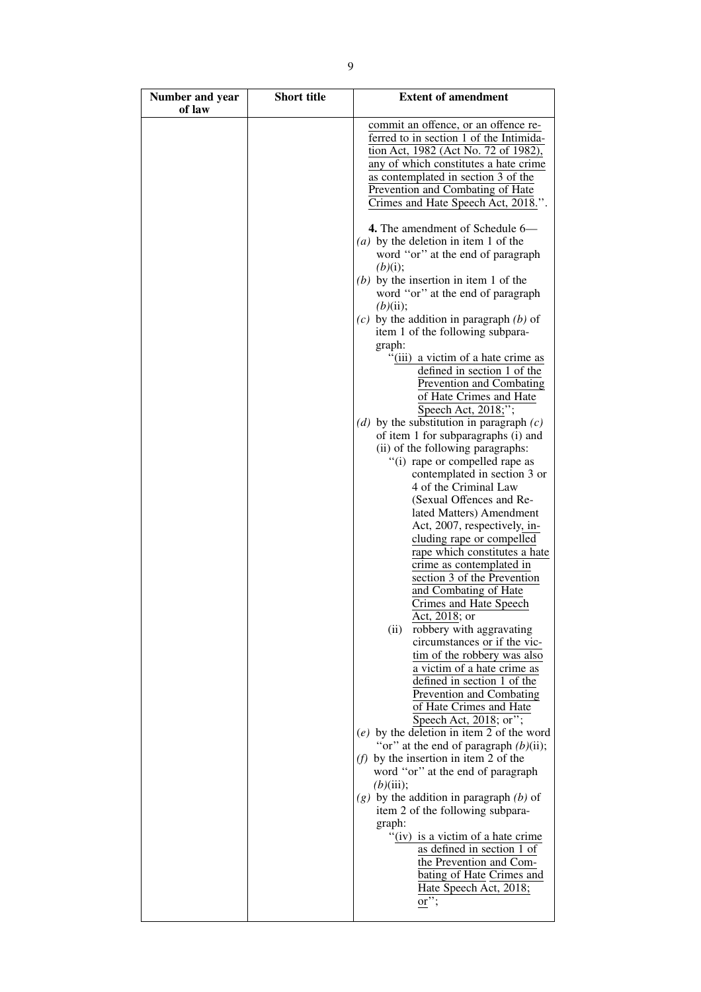| Number and year<br>of law | <b>Short title</b> | <b>Extent of amendment</b>                                                                                                                                                                                                                                                                                                                                                                                                                                                                                                                                                                                                                                                                                                                                                                                                                                                                                                                                                                                                                                                                                                                        |
|---------------------------|--------------------|---------------------------------------------------------------------------------------------------------------------------------------------------------------------------------------------------------------------------------------------------------------------------------------------------------------------------------------------------------------------------------------------------------------------------------------------------------------------------------------------------------------------------------------------------------------------------------------------------------------------------------------------------------------------------------------------------------------------------------------------------------------------------------------------------------------------------------------------------------------------------------------------------------------------------------------------------------------------------------------------------------------------------------------------------------------------------------------------------------------------------------------------------|
|                           |                    | commit an offence, or an offence re-<br>ferred to in section 1 of the Intimida-<br>tion Act, 1982 (Act No. 72 of 1982),<br>any of which constitutes a hate crime<br>as contemplated in section 3 of the<br>Prevention and Combating of Hate<br>Crimes and Hate Speech Act, 2018.".<br>4. The amendment of Schedule 6—<br>(a) by the deletion in item 1 of the<br>word "or" at the end of paragraph<br>(b)(i);<br>$(b)$ by the insertion in item 1 of the<br>word "or" at the end of paragraph<br>(b)(ii);<br>$(c)$ by the addition in paragraph $(b)$ of<br>item 1 of the following subpara-<br>graph:<br>"(iii) a victim of a hate crime as<br>defined in section 1 of the<br>Prevention and Combating<br>of Hate Crimes and Hate<br>Speech Act, $\overline{2018;}$ ;<br>(d) by the substitution in paragraph $(c)$<br>of item 1 for subparagraphs (i) and<br>(ii) of the following paragraphs:<br>"(i) rape or compelled rape as<br>contemplated in section 3 or<br>4 of the Criminal Law<br>(Sexual Offences and Re-<br>lated Matters) Amendment<br>Act, 2007, respectively, in-<br>cluding rape or compelled<br>rape which constitutes a hate |
|                           |                    | crime as contemplated in<br>section 3 of the Prevention<br>and Combating of Hate<br>Crimes and Hate Speech<br>Act, 2018; or<br>(ii)<br>robbery with aggravating                                                                                                                                                                                                                                                                                                                                                                                                                                                                                                                                                                                                                                                                                                                                                                                                                                                                                                                                                                                   |
|                           |                    | circumstances or if the vic-<br>tim of the robbery was also<br>a victim of a hate crime as<br>defined in section 1 of the<br>Prevention and Combating<br>of Hate Crimes and Hate<br>Speech Act, 2018; or";<br>$(e)$ by the deletion in item 2 of the word<br>"or" at the end of paragraph $(b)(ii)$ ;                                                                                                                                                                                                                                                                                                                                                                                                                                                                                                                                                                                                                                                                                                                                                                                                                                             |
|                           |                    | ( <i>f</i> ) by the insertion in item 2 of the<br>word "or" at the end of paragraph<br>(b)(iii);<br>$(g)$ by the addition in paragraph $(b)$ of<br>item 2 of the following subpara-<br>graph:<br>"(iv) is a victim of a hate crime"<br>as defined in section 1 of                                                                                                                                                                                                                                                                                                                                                                                                                                                                                                                                                                                                                                                                                                                                                                                                                                                                                 |
|                           |                    | the Prevention and Com-<br>bating of Hate Crimes and<br>Hate Speech Act, 2018;<br>or";                                                                                                                                                                                                                                                                                                                                                                                                                                                                                                                                                                                                                                                                                                                                                                                                                                                                                                                                                                                                                                                            |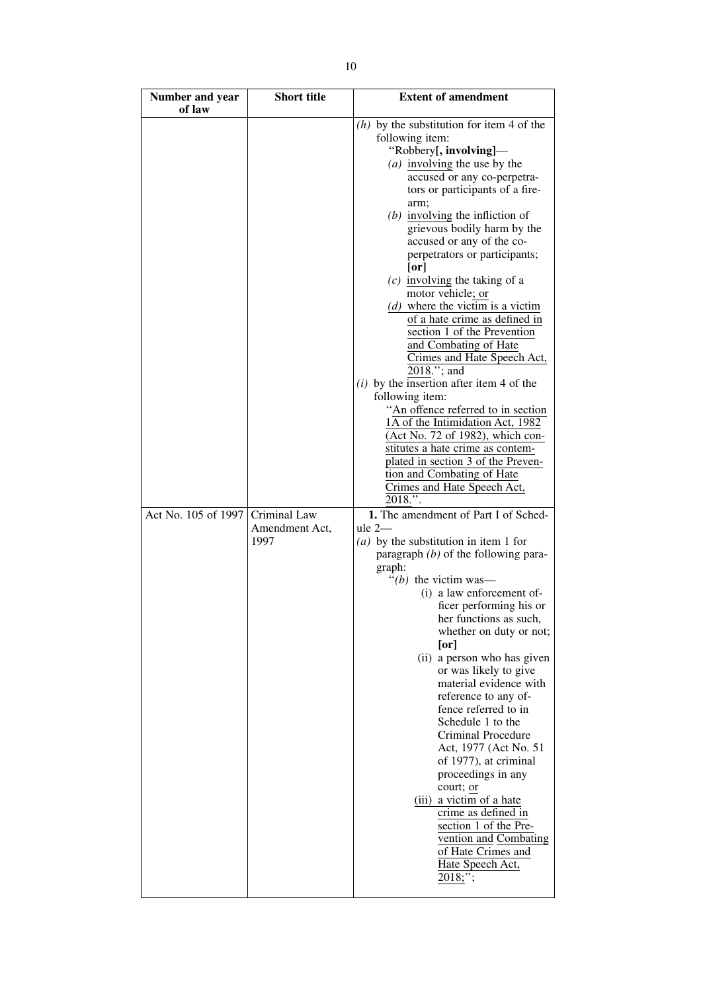| Number and year<br>of law | <b>Short title</b>                     | <b>Extent of amendment</b>                                                                                                                                                                                                                                                                                                                                                                                                                                                                                                                                                                                                                                                                                                                                                                                                                                                                                                                                                                                                                                                                                                                                                                                                                                                                                                                                                                                                                                                                                                                                                                                                        |
|---------------------------|----------------------------------------|-----------------------------------------------------------------------------------------------------------------------------------------------------------------------------------------------------------------------------------------------------------------------------------------------------------------------------------------------------------------------------------------------------------------------------------------------------------------------------------------------------------------------------------------------------------------------------------------------------------------------------------------------------------------------------------------------------------------------------------------------------------------------------------------------------------------------------------------------------------------------------------------------------------------------------------------------------------------------------------------------------------------------------------------------------------------------------------------------------------------------------------------------------------------------------------------------------------------------------------------------------------------------------------------------------------------------------------------------------------------------------------------------------------------------------------------------------------------------------------------------------------------------------------------------------------------------------------------------------------------------------------|
| Act No. 105 of 1997       | Criminal Law<br>Amendment Act,<br>1997 | $(h)$ by the substitution for item 4 of the<br>following item:<br>"Robbery[, involving]—<br>(a) involving the use by the<br>accused or any co-perpetra-<br>tors or participants of a fire-<br>arm;<br>$(b)$ involving the infliction of<br>grievous bodily harm by the<br>accused or any of the co-<br>perpetrators or participants;<br>[or]<br>$(c)$ involving the taking of a<br>motor vehicle; or<br>$(d)$ where the victim is a victim<br>of a hate crime as defined in<br>section 1 of the Prevention<br>and Combating of Hate<br>Crimes and Hate Speech Act,<br>2018."; and<br>$(i)$ by the insertion after item 4 of the<br>following item:<br>"An offence referred to in section<br>1A of the Intimidation Act, 1982<br>(Act No. 72 of 1982), which con-<br>stitutes a hate crime as contem-<br>plated in section 3 of the Preven-<br>tion and Combating of Hate<br>Crimes and Hate Speech Act,<br>2018.".<br>1. The amendment of Part I of Sched-<br>$ule 2-$<br>(a) by the substitution in item 1 for<br>paragraph $(b)$ of the following para-<br>graph:<br>"(b) the victim was—<br>(i) a law enforcement of-<br>ficer performing his or<br>her functions as such,<br>whether on duty or not;<br>[or]<br>(ii) a person who has given<br>or was likely to give<br>material evidence with<br>reference to any of-<br>fence referred to in<br>Schedule 1 to the<br>Criminal Procedure<br>Act, 1977 (Act No. 51<br>of 1977), at criminal<br>proceedings in any<br>court; or<br>(iii) a victim of a hate<br>crime as defined in<br>section 1 of the Pre-<br>vention and Combating<br>of Hate Crimes and<br>Hate Speech Act, |
|                           |                                        | 2018;";                                                                                                                                                                                                                                                                                                                                                                                                                                                                                                                                                                                                                                                                                                                                                                                                                                                                                                                                                                                                                                                                                                                                                                                                                                                                                                                                                                                                                                                                                                                                                                                                                           |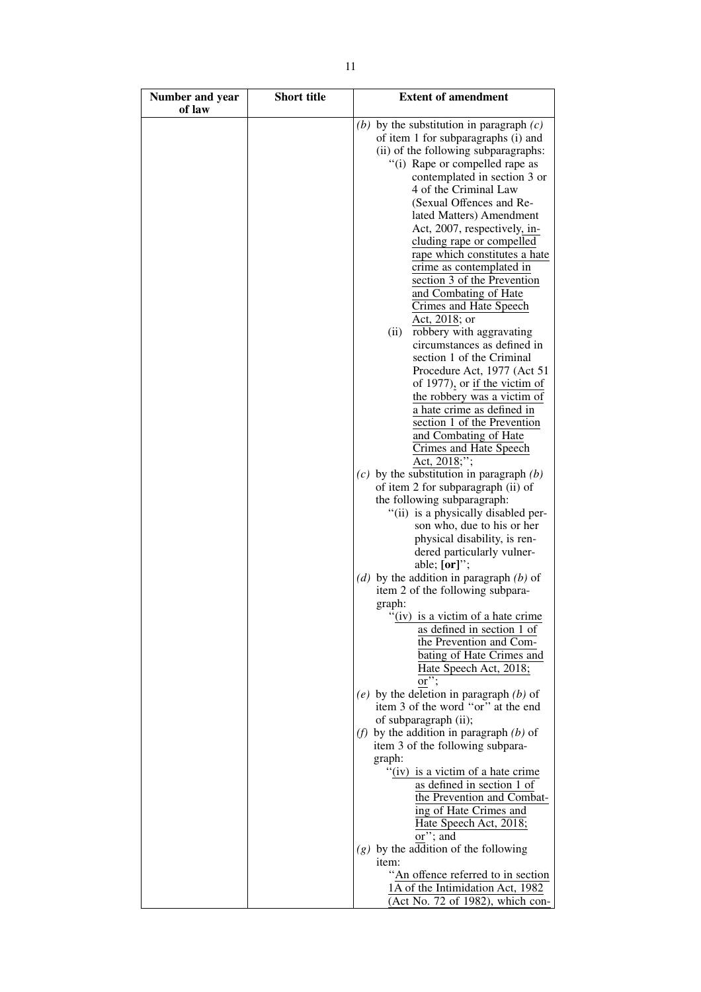| Number and year<br>of law | <b>Short title</b> | <b>Extent of amendment</b>                                 |
|---------------------------|--------------------|------------------------------------------------------------|
|                           |                    | (b) by the substitution in paragraph $(c)$                 |
|                           |                    | of item 1 for subparagraphs (i) and                        |
|                           |                    | (ii) of the following subparagraphs:                       |
|                           |                    | "(i) Rape or compelled rape as                             |
|                           |                    | contemplated in section 3 or                               |
|                           |                    | 4 of the Criminal Law                                      |
|                           |                    | (Sexual Offences and Re-                                   |
|                           |                    | lated Matters) Amendment                                   |
|                           |                    | Act, 2007, respectively, in-                               |
|                           |                    | cluding rape or compelled                                  |
|                           |                    | rape which constitutes a hate                              |
|                           |                    | crime as contemplated in                                   |
|                           |                    | section 3 of the Prevention                                |
|                           |                    | and Combating of Hate                                      |
|                           |                    | Crimes and Hate Speech                                     |
|                           |                    | Act, 2018; or                                              |
|                           |                    | robbery with aggravating<br>(ii)                           |
|                           |                    | circumstances as defined in<br>section 1 of the Criminal   |
|                           |                    | Procedure Act, 1977 (Act 51                                |
|                           |                    | of 1977), or if the victim of                              |
|                           |                    | the robbery was a victim of                                |
|                           |                    | a hate crime as defined in                                 |
|                           |                    | section 1 of the Prevention                                |
|                           |                    | and Combating of Hate                                      |
|                           |                    | Crimes and Hate Speech                                     |
|                           |                    | Act, 2018;";                                               |
|                           |                    | $(c)$ by the substitution in paragraph $(b)$               |
|                           |                    | of item 2 for subparagraph (ii) of                         |
|                           |                    | the following subparagraph:                                |
|                           |                    | "(ii) is a physically disabled per-                        |
|                           |                    | son who, due to his or her<br>physical disability, is ren- |
|                           |                    | dered particularly vulner-                                 |
|                           |                    | able; [or]";                                               |
|                           |                    | (d) by the addition in paragraph $(b)$ of                  |
|                           |                    | item 2 of the following subpara-                           |
|                           |                    | graph:                                                     |
|                           |                    | "(iv) is a victim of a hate crime                          |
|                           |                    | as defined in section 1 of                                 |
|                           |                    | the Prevention and Com-                                    |
|                           |                    | bating of Hate Crimes and                                  |
|                           |                    | Hate Speech Act, 2018;                                     |
|                           |                    | or";<br>(e) by the deletion in paragraph $(b)$ of          |
|                           |                    | item 3 of the word "or" at the end                         |
|                           |                    | of subparagraph (ii);                                      |
|                           |                    | (f) by the addition in paragraph $(b)$ of                  |
|                           |                    | item 3 of the following subpara-                           |
|                           |                    | graph:                                                     |
|                           |                    | "(iv) is a victim of a hate crime                          |
|                           |                    | as defined in section 1 of                                 |
|                           |                    | the Prevention and Combat-                                 |
|                           |                    | ing of Hate Crimes and                                     |
|                           |                    | Hate Speech Act, 2018;<br>or"; and                         |
|                           |                    | $(g)$ by the addition of the following                     |
|                           |                    | item:                                                      |
|                           |                    | "An offence referred to in section                         |
|                           |                    | 1A of the Intimidation Act, 1982                           |
|                           |                    | (Act No. 72 of 1982), which con-                           |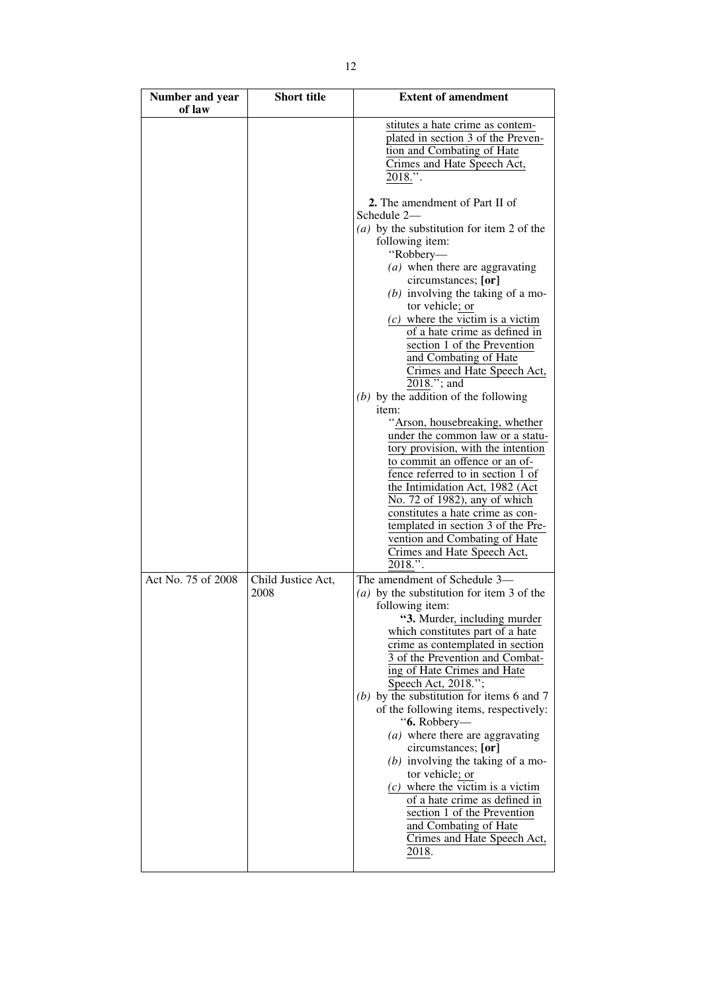| Number and year<br>of law | <b>Short title</b>         | <b>Extent of amendment</b>                                                                                                                                                                                                                                                                                                                                                                                                                                                                                                                                                                                                                                                                                                                                                                                                                                                              |
|---------------------------|----------------------------|-----------------------------------------------------------------------------------------------------------------------------------------------------------------------------------------------------------------------------------------------------------------------------------------------------------------------------------------------------------------------------------------------------------------------------------------------------------------------------------------------------------------------------------------------------------------------------------------------------------------------------------------------------------------------------------------------------------------------------------------------------------------------------------------------------------------------------------------------------------------------------------------|
|                           |                            | stitutes a hate crime as contem-<br>plated in section 3 of the Preven-<br>tion and Combating of Hate<br>Crimes and Hate Speech Act,<br>$2018."$ .                                                                                                                                                                                                                                                                                                                                                                                                                                                                                                                                                                                                                                                                                                                                       |
|                           |                            | <b>2.</b> The amendment of Part II of<br>Schedule 2-<br>(a) by the substitution for item 2 of the<br>following item:<br>"Robbery-<br>$(a)$ when there are aggravating<br>circumstances; [or]<br>$(b)$ involving the taking of a mo-<br>tor vehicle; or<br>$(c)$ where the victim is a victim<br>of a hate crime as defined in<br>section 1 of the Prevention<br>and Combating of Hate<br>Crimes and Hate Speech Act,<br>2018."; and<br>$(b)$ by the addition of the following<br>item:<br>"Arson, housebreaking, whether<br>under the common law or a statu-<br>tory provision, with the intention<br>to commit an offence or an of-<br>fence referred to in section 1 of<br>the Intimidation Act, 1982 (Act<br>No. 72 of 1982), any of which<br>constitutes a hate crime as con-<br>templated in section 3 of the Pre-<br>vention and Combating of Hate<br>Crimes and Hate Speech Act, |
| Act No. 75 of 2008        | Child Justice Act,<br>2008 | $2018."$ .<br>The amendment of Schedule 3-<br>(a) by the substitution for item 3 of the<br>following item:<br>"3. Murder, including murder<br>which constitutes part of a hate<br>crime as contemplated in section<br>3 of the Prevention and Combat-<br>ing of Hate Crimes and Hate<br>Speech Act, 2018.";<br>(b) by the substitution for items $6$ and $7$<br>of the following items, respectively:<br>"6. Robbery-<br>$(a)$ where there are aggravating<br>circumstances; [or]<br>$(b)$ involving the taking of a mo-<br>tor vehicle; or<br>$(c)$ where the victim is a victim<br>of a hate crime as defined in<br>section 1 of the Prevention<br>and Combating of Hate<br>Crimes and Hate Speech Act,<br>2018.                                                                                                                                                                      |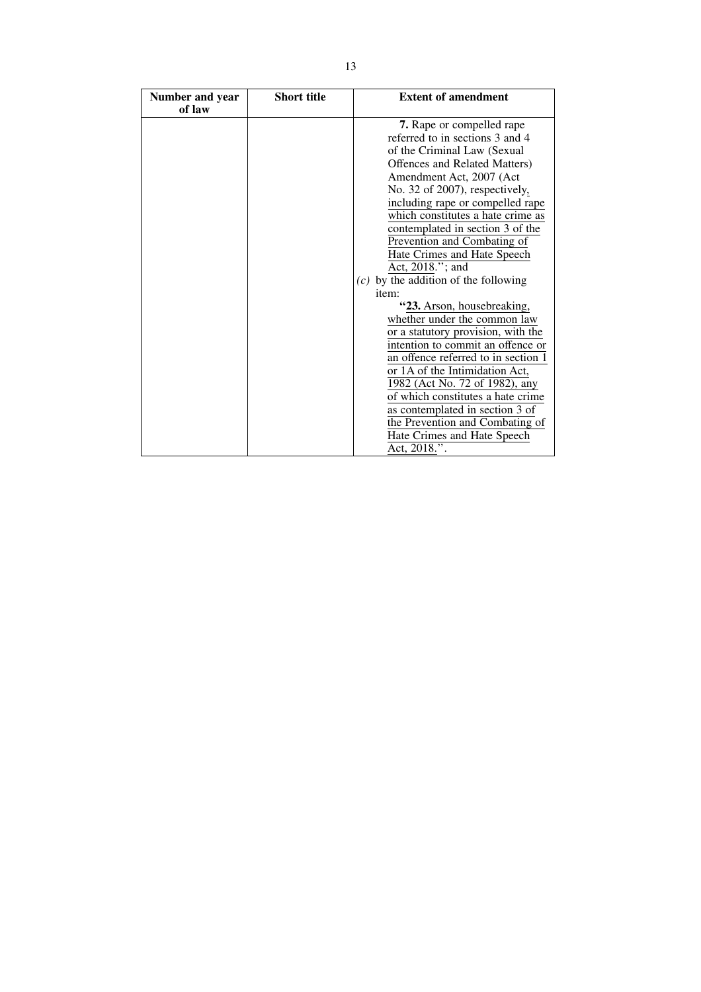| Number and year<br>of law | <b>Short title</b> | <b>Extent of amendment</b>             |
|---------------------------|--------------------|----------------------------------------|
|                           |                    | 7. Rape or compelled rape              |
|                           |                    | referred to in sections 3 and 4        |
|                           |                    | of the Criminal Law (Sexual            |
|                           |                    | Offences and Related Matters)          |
|                           |                    | Amendment Act, 2007 (Act               |
|                           |                    | No. 32 of 2007), respectively,         |
|                           |                    | including rape or compelled rape       |
|                           |                    | which constitutes a hate crime as      |
|                           |                    | contemplated in section 3 of the       |
|                           |                    | Prevention and Combating of            |
|                           |                    | Hate Crimes and Hate Speech            |
|                           |                    | Act, 2018."; and                       |
|                           |                    | $(c)$ by the addition of the following |
|                           |                    | item:                                  |
|                           |                    | "23. Arson, housebreaking,             |
|                           |                    | whether under the common law           |
|                           |                    | or a statutory provision, with the     |
|                           |                    | intention to commit an offence or      |
|                           |                    | an offence referred to in section 1    |
|                           |                    | or 1A of the Intimidation Act,         |
|                           |                    | 1982 (Act No. 72 of 1982), any         |
|                           |                    | of which constitutes a hate crime      |
|                           |                    | as contemplated in section 3 of        |
|                           |                    | the Prevention and Combating of        |
|                           |                    | Hate Crimes and Hate Speech            |
|                           |                    | Act, 2018.".                           |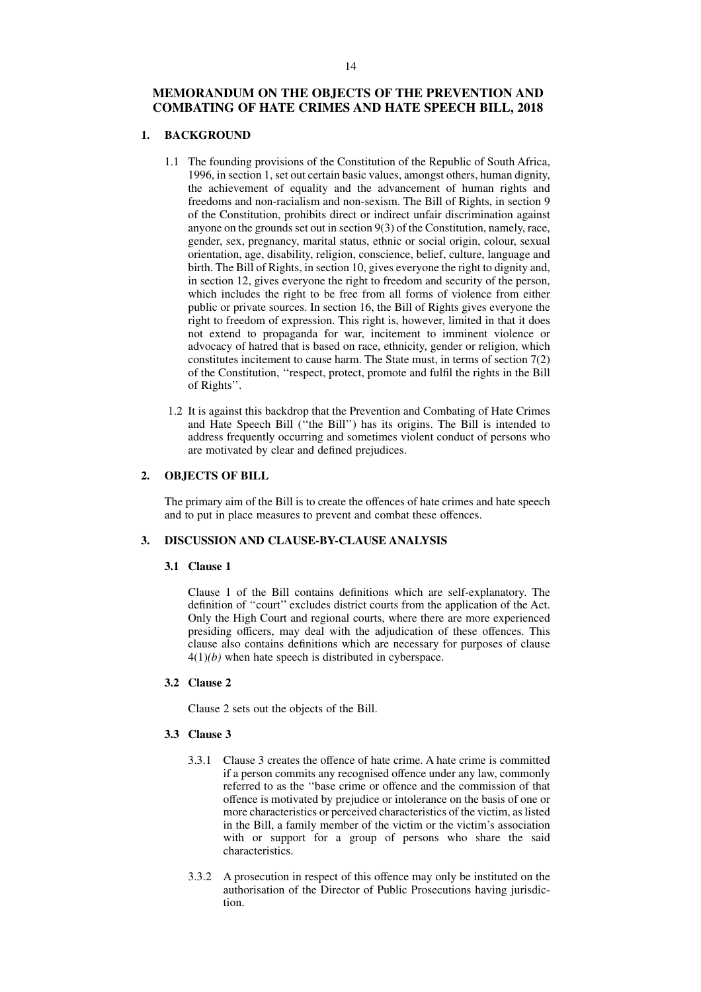## **MEMORANDUM ON THE OBJECTS OF THE PREVENTION AND COMBATING OF HATE CRIMES AND HATE SPEECH BILL, 2018**

## **1. BACKGROUND**

- 1.1 The founding provisions of the Constitution of the Republic of South Africa, 1996, in section 1, set out certain basic values, amongst others, human dignity, the achievement of equality and the advancement of human rights and freedoms and non-racialism and non-sexism. The Bill of Rights, in section 9 of the Constitution, prohibits direct or indirect unfair discrimination against anyone on the grounds set out in section 9(3) of the Constitution, namely, race, gender, sex, pregnancy, marital status, ethnic or social origin, colour, sexual orientation, age, disability, religion, conscience, belief, culture, language and birth. The Bill of Rights, in section 10, gives everyone the right to dignity and, in section 12, gives everyone the right to freedom and security of the person, which includes the right to be free from all forms of violence from either public or private sources. In section 16, the Bill of Rights gives everyone the right to freedom of expression. This right is, however, limited in that it does not extend to propaganda for war, incitement to imminent violence or advocacy of hatred that is based on race, ethnicity, gender or religion, which constitutes incitement to cause harm. The State must, in terms of section 7(2) of the Constitution, ''respect, protect, promote and fulfil the rights in the Bill of Rights''.
- 1.2 It is against this backdrop that the Prevention and Combating of Hate Crimes and Hate Speech Bill (''the Bill'') has its origins. The Bill is intended to address frequently occurring and sometimes violent conduct of persons who are motivated by clear and defined prejudices.

### **2. OBJECTS OF BILL**

The primary aim of the Bill is to create the offences of hate crimes and hate speech and to put in place measures to prevent and combat these offences.

## **3. DISCUSSION AND CLAUSE-BY-CLAUSE ANALYSIS**

## **3.1 Clause 1**

Clause 1 of the Bill contains definitions which are self-explanatory. The definition of ''court'' excludes district courts from the application of the Act. Only the High Court and regional courts, where there are more experienced presiding officers, may deal with the adjudication of these offences. This clause also contains definitions which are necessary for purposes of clause 4(1)*(b)* when hate speech is distributed in cyberspace.

## **3.2 Clause 2**

Clause 2 sets out the objects of the Bill.

## **3.3 Clause 3**

- 3.3.1 Clause 3 creates the offence of hate crime. A hate crime is committed if a person commits any recognised offence under any law, commonly referred to as the ''base crime or offence and the commission of that offence is motivated by prejudice or intolerance on the basis of one or more characteristics or perceived characteristics of the victim, as listed in the Bill, a family member of the victim or the victim's association with or support for a group of persons who share the said characteristics.
- 3.3.2 A prosecution in respect of this offence may only be instituted on the authorisation of the Director of Public Prosecutions having jurisdiction.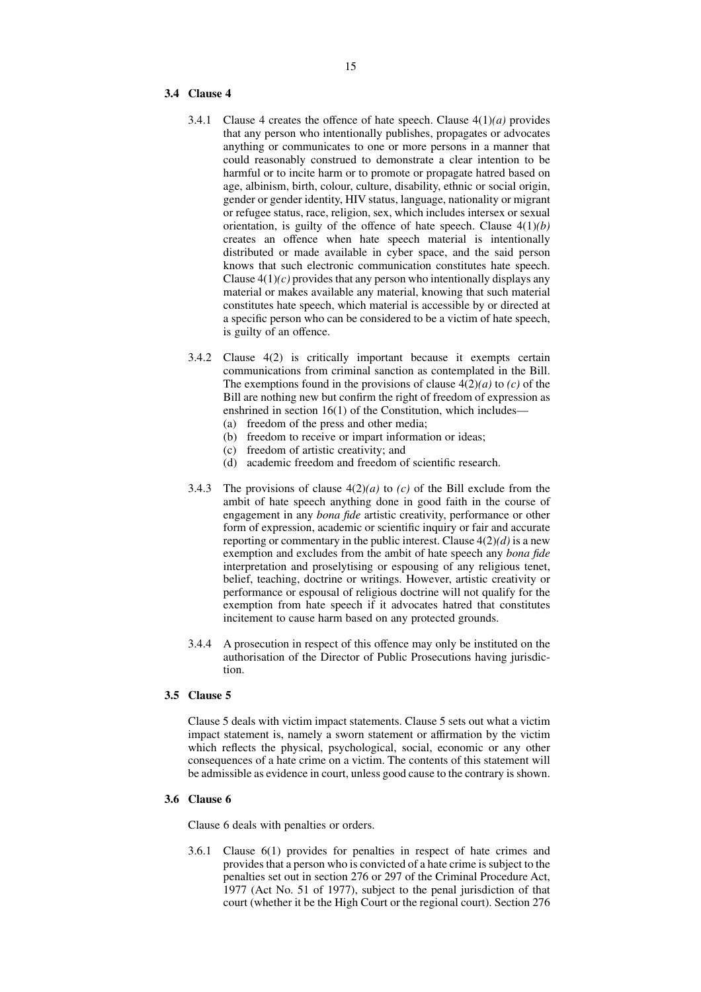## **3.4 Clause 4**

- 3.4.1 Clause 4 creates the offence of hate speech. Clause 4(1)*(a)* provides that any person who intentionally publishes, propagates or advocates anything or communicates to one or more persons in a manner that could reasonably construed to demonstrate a clear intention to be harmful or to incite harm or to promote or propagate hatred based on age, albinism, birth, colour, culture, disability, ethnic or social origin, gender or gender identity, HIV status, language, nationality or migrant or refugee status, race, religion, sex, which includes intersex or sexual orientation, is guilty of the offence of hate speech. Clause 4(1)*(b)* creates an offence when hate speech material is intentionally distributed or made available in cyber space, and the said person knows that such electronic communication constitutes hate speech. Clause  $4(1)(c)$  provides that any person who intentionally displays any material or makes available any material, knowing that such material constitutes hate speech, which material is accessible by or directed at a specific person who can be considered to be a victim of hate speech, is guilty of an offence.
- 3.4.2 Clause 4(2) is critically important because it exempts certain communications from criminal sanction as contemplated in the Bill. The exemptions found in the provisions of clause  $4(2)(a)$  to *(c)* of the Bill are nothing new but confirm the right of freedom of expression as enshrined in section 16(1) of the Constitution, which includes—
	- (a) freedom of the press and other media;
	- (b) freedom to receive or impart information or ideas;
	- (c) freedom of artistic creativity; and
	- (d) academic freedom and freedom of scientific research.
- 3.4.3 The provisions of clause 4(2)*(a)* to *(c)* of the Bill exclude from the ambit of hate speech anything done in good faith in the course of engagement in any *bona fide* artistic creativity, performance or other form of expression, academic or scientific inquiry or fair and accurate reporting or commentary in the public interest. Clause  $4(2)(d)$  is a new exemption and excludes from the ambit of hate speech any *bona fide* interpretation and proselytising or espousing of any religious tenet, belief, teaching, doctrine or writings. However, artistic creativity or performance or espousal of religious doctrine will not qualify for the exemption from hate speech if it advocates hatred that constitutes incitement to cause harm based on any protected grounds.
- 3.4.4 A prosecution in respect of this offence may only be instituted on the authorisation of the Director of Public Prosecutions having jurisdiction.

## **3.5 Clause 5**

Clause 5 deals with victim impact statements. Clause 5 sets out what a victim impact statement is, namely a sworn statement or affirmation by the victim which reflects the physical, psychological, social, economic or any other consequences of a hate crime on a victim. The contents of this statement will be admissible as evidence in court, unless good cause to the contrary is shown.

## **3.6 Clause 6**

Clause 6 deals with penalties or orders.

3.6.1 Clause 6(1) provides for penalties in respect of hate crimes and provides that a person who is convicted of a hate crime is subject to the penalties set out in section 276 or 297 of the Criminal Procedure Act, 1977 (Act No. 51 of 1977), subject to the penal jurisdiction of that court (whether it be the High Court or the regional court). Section 276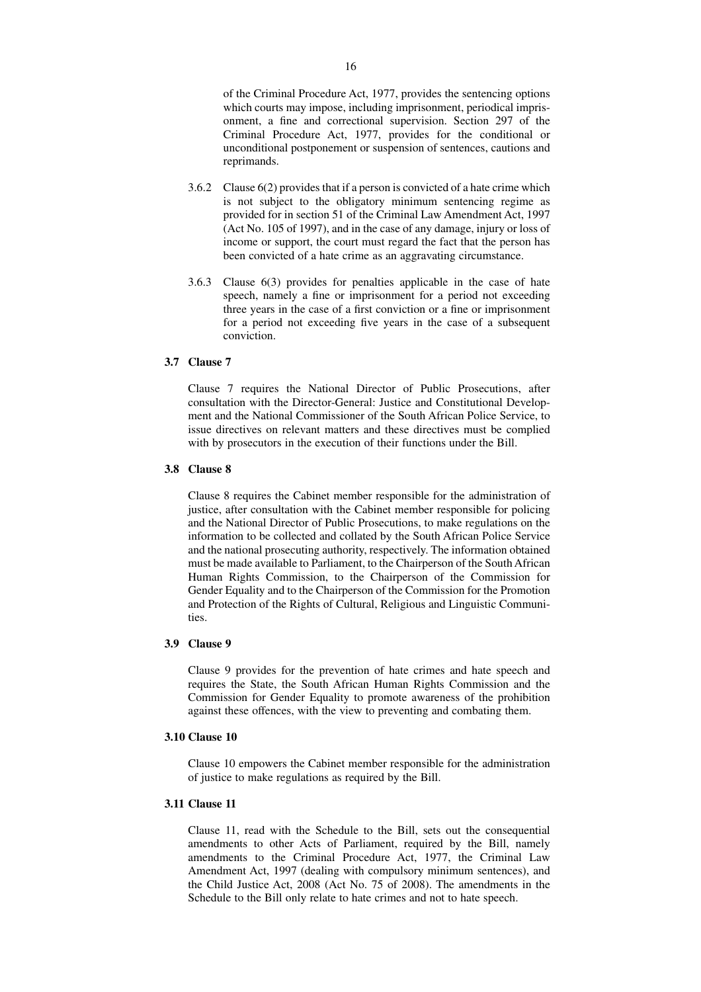of the Criminal Procedure Act, 1977, provides the sentencing options which courts may impose, including imprisonment, periodical imprisonment, a fine and correctional supervision. Section 297 of the Criminal Procedure Act, 1977, provides for the conditional or unconditional postponement or suspension of sentences, cautions and reprimands.

- 3.6.2 Clause 6(2) provides that if a person is convicted of a hate crime which is not subject to the obligatory minimum sentencing regime as provided for in section 51 of the Criminal Law Amendment Act, 1997 (Act No. 105 of 1997), and in the case of any damage, injury or loss of income or support, the court must regard the fact that the person has been convicted of a hate crime as an aggravating circumstance.
- 3.6.3 Clause 6(3) provides for penalties applicable in the case of hate speech, namely a fine or imprisonment for a period not exceeding three years in the case of a first conviction or a fine or imprisonment for a period not exceeding five years in the case of a subsequent conviction.

## **3.7 Clause 7**

Clause 7 requires the National Director of Public Prosecutions, after consultation with the Director-General: Justice and Constitutional Development and the National Commissioner of the South African Police Service, to issue directives on relevant matters and these directives must be complied with by prosecutors in the execution of their functions under the Bill.

## **3.8 Clause 8**

Clause 8 requires the Cabinet member responsible for the administration of justice, after consultation with the Cabinet member responsible for policing and the National Director of Public Prosecutions, to make regulations on the information to be collected and collated by the South African Police Service and the national prosecuting authority, respectively. The information obtained must be made available to Parliament, to the Chairperson of the South African Human Rights Commission, to the Chairperson of the Commission for Gender Equality and to the Chairperson of the Commission for the Promotion and Protection of the Rights of Cultural, Religious and Linguistic Communities.

## **3.9 Clause 9**

Clause 9 provides for the prevention of hate crimes and hate speech and requires the State, the South African Human Rights Commission and the Commission for Gender Equality to promote awareness of the prohibition against these offences, with the view to preventing and combating them.

### **3.10 Clause 10**

Clause 10 empowers the Cabinet member responsible for the administration of justice to make regulations as required by the Bill.

## **3.11 Clause 11**

Clause 11, read with the Schedule to the Bill, sets out the consequential amendments to other Acts of Parliament, required by the Bill, namely amendments to the Criminal Procedure Act, 1977, the Criminal Law Amendment Act, 1997 (dealing with compulsory minimum sentences), and the Child Justice Act, 2008 (Act No. 75 of 2008). The amendments in the Schedule to the Bill only relate to hate crimes and not to hate speech.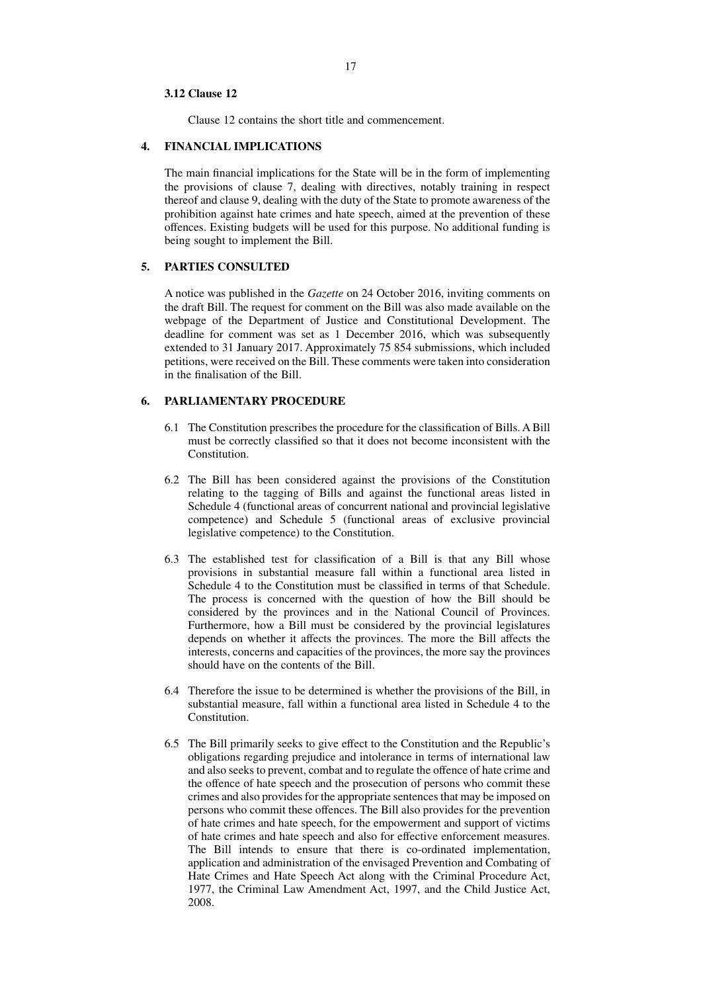#### **3.12 Clause 12**

Clause 12 contains the short title and commencement.

### **4. FINANCIAL IMPLICATIONS**

The main financial implications for the State will be in the form of implementing the provisions of clause 7, dealing with directives, notably training in respect thereof and clause 9, dealing with the duty of the State to promote awareness of the prohibition against hate crimes and hate speech, aimed at the prevention of these offences. Existing budgets will be used for this purpose. No additional funding is being sought to implement the Bill.

## **5. PARTIES CONSULTED**

A notice was published in the *Gazette* on 24 October 2016, inviting comments on the draft Bill. The request for comment on the Bill was also made available on the webpage of the Department of Justice and Constitutional Development. The deadline for comment was set as 1 December 2016, which was subsequently extended to 31 January 2017. Approximately 75 854 submissions, which included petitions, were received on the Bill. These comments were taken into consideration in the finalisation of the Bill.

## **6. PARLIAMENTARY PROCEDURE**

- 6.1 The Constitution prescribes the procedure for the classification of Bills. A Bill must be correctly classified so that it does not become inconsistent with the Constitution.
- 6.2 The Bill has been considered against the provisions of the Constitution relating to the tagging of Bills and against the functional areas listed in Schedule 4 (functional areas of concurrent national and provincial legislative competence) and Schedule 5 (functional areas of exclusive provincial legislative competence) to the Constitution.
- 6.3 The established test for classification of a Bill is that any Bill whose provisions in substantial measure fall within a functional area listed in Schedule 4 to the Constitution must be classified in terms of that Schedule. The process is concerned with the question of how the Bill should be considered by the provinces and in the National Council of Provinces. Furthermore, how a Bill must be considered by the provincial legislatures depends on whether it affects the provinces. The more the Bill affects the interests, concerns and capacities of the provinces, the more say the provinces should have on the contents of the Bill.
- 6.4 Therefore the issue to be determined is whether the provisions of the Bill, in substantial measure, fall within a functional area listed in Schedule 4 to the Constitution.
- 6.5 The Bill primarily seeks to give effect to the Constitution and the Republic's obligations regarding prejudice and intolerance in terms of international law and also seeks to prevent, combat and to regulate the offence of hate crime and the offence of hate speech and the prosecution of persons who commit these crimes and also provides for the appropriate sentences that may be imposed on persons who commit these offences. The Bill also provides for the prevention of hate crimes and hate speech, for the empowerment and support of victims of hate crimes and hate speech and also for effective enforcement measures. The Bill intends to ensure that there is co-ordinated implementation, application and administration of the envisaged Prevention and Combating of Hate Crimes and Hate Speech Act along with the Criminal Procedure Act, 1977, the Criminal Law Amendment Act, 1997, and the Child Justice Act, 2008.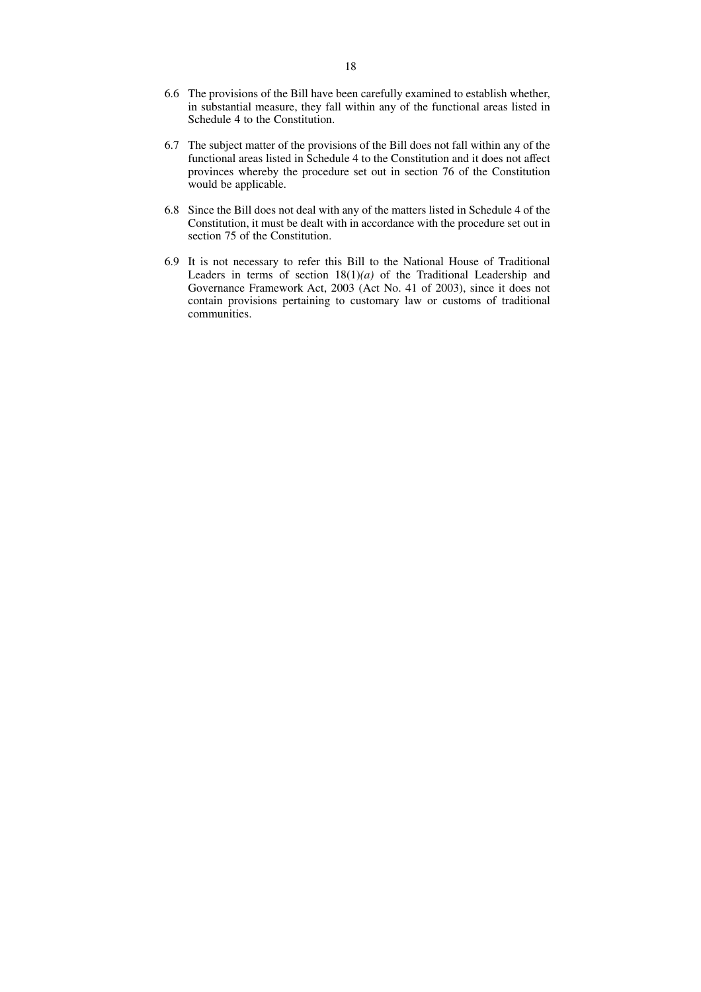- 6.6 The provisions of the Bill have been carefully examined to establish whether, in substantial measure, they fall within any of the functional areas listed in Schedule 4 to the Constitution.
- 6.7 The subject matter of the provisions of the Bill does not fall within any of the functional areas listed in Schedule 4 to the Constitution and it does not affect provinces whereby the procedure set out in section 76 of the Constitution would be applicable.
- 6.8 Since the Bill does not deal with any of the matters listed in Schedule 4 of the Constitution, it must be dealt with in accordance with the procedure set out in section 75 of the Constitution.
- 6.9 It is not necessary to refer this Bill to the National House of Traditional Leaders in terms of section 18(1)*(a)* of the Traditional Leadership and Governance Framework Act, 2003 (Act No. 41 of 2003), since it does not contain provisions pertaining to customary law or customs of traditional communities.